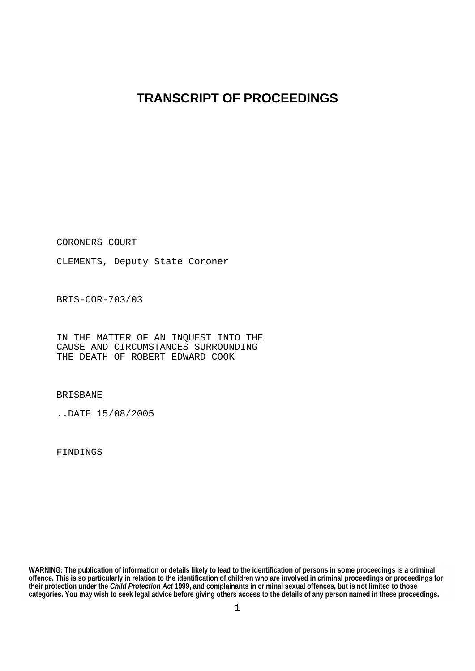## **TRANSCRIPT OF PROCEEDINGS**

CORONERS COURT

CLEMENTS, Deputy State Coroner

BRIS-COR-703/03

IN THE MATTER OF AN INQUEST INTO THE CAUSE AND CIRCUMSTANCES SURROUNDING THE DEATH OF ROBERT EDWARD COOK

BRISBANE

..DATE 15/08/2005

FINDINGS

**WARNING: The publication of information or details likely to lead to the identification of persons in some proceedings is a criminal offence. This is so particularly in relation to the identification of children who are involved in criminal proceedings or proceedings for their protection under the** *Child Protection Act* **1999, and complainants in criminal sexual offences, but is not limited to those categories. You may wish to seek legal advice before giving others access to the details of any person named in these proceedings.**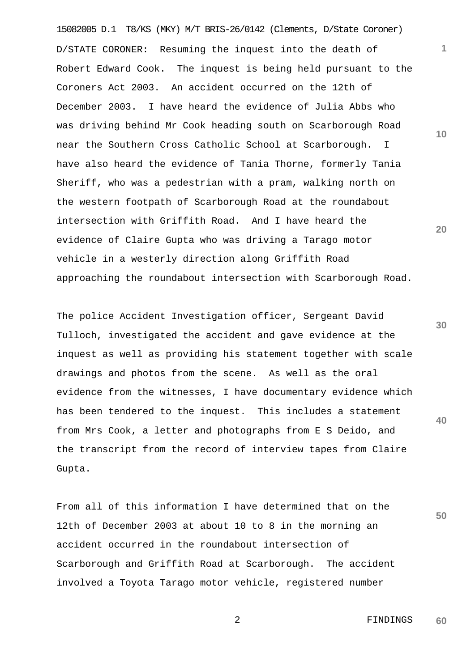15082005 D.1 T8/KS (MKY) M/T BRIS-26/0142 (Clements, D/State Coroner) D/STATE CORONER: Resuming the inquest into the death of Robert Edward Cook. The inquest is being held pursuant to the Coroners Act 2003. An accident occurred on the 12th of December 2003. I have heard the evidence of Julia Abbs who was driving behind Mr Cook heading south on Scarborough Road near the Southern Cross Catholic School at Scarborough. I have also heard the evidence of Tania Thorne, formerly Tania Sheriff, who was a pedestrian with a pram, walking north on the western footpath of Scarborough Road at the roundabout intersection with Griffith Road. And I have heard the evidence of Claire Gupta who was driving a Tarago motor vehicle in a westerly direction along Griffith Road approaching the roundabout intersection with Scarborough Road.

**40** The police Accident Investigation officer, Sergeant David Tulloch, investigated the accident and gave evidence at the inquest as well as providing his statement together with scale drawings and photos from the scene. As well as the oral evidence from the witnesses, I have documentary evidence which has been tendered to the inquest. This includes a statement from Mrs Cook, a letter and photographs from E S Deido, and the transcript from the record of interview tapes from Claire Gupta.

From all of this information I have determined that on the 12th of December 2003 at about 10 to 8 in the morning an accident occurred in the roundabout intersection of Scarborough and Griffith Road at Scarborough. The accident involved a Toyota Tarago motor vehicle, registered number

> 2 FINDINGS **60**

**30**

**50**

**20**

**10**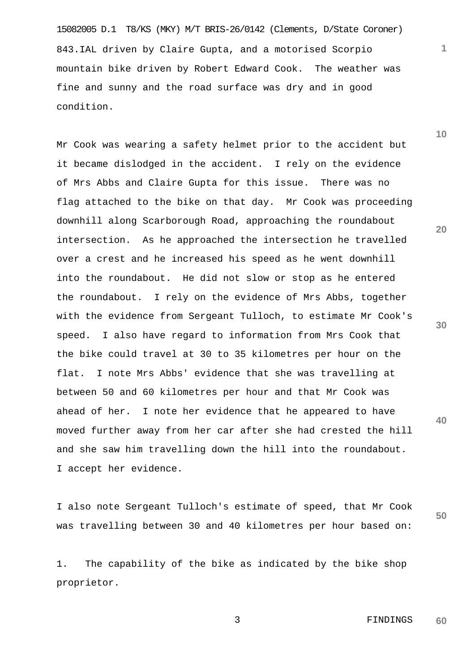15082005 D.1 T8/KS (MKY) M/T BRIS-26/0142 (Clements, D/State Coroner) 843.IAL driven by Claire Gupta, and a motorised Scorpio mountain bike driven by Robert Edward Cook. The weather was fine and sunny and the road surface was dry and in good condition.

Mr Cook was wearing a safety helmet prior to the accident but it became dislodged in the accident. I rely on the evidence of Mrs Abbs and Claire Gupta for this issue. There was no flag attached to the bike on that day. Mr Cook was proceeding downhill along Scarborough Road, approaching the roundabout intersection. As he approached the intersection he travelled over a crest and he increased his speed as he went downhill into the roundabout. He did not slow or stop as he entered the roundabout. I rely on the evidence of Mrs Abbs, together with the evidence from Sergeant Tulloch, to estimate Mr Cook's speed. I also have regard to information from Mrs Cook that the bike could travel at 30 to 35 kilometres per hour on the flat. I note Mrs Abbs' evidence that she was travelling at between 50 and 60 kilometres per hour and that Mr Cook was ahead of her. I note her evidence that he appeared to have moved further away from her car after she had crested the hill and she saw him travelling down the hill into the roundabout. I accept her evidence.

I also note Sergeant Tulloch's estimate of speed, that Mr Cook was travelling between 30 and 40 kilometres per hour based on:

1. The capability of the bike as indicated by the bike shop proprietor.

**20**

**1**

**10**

**30**

**40**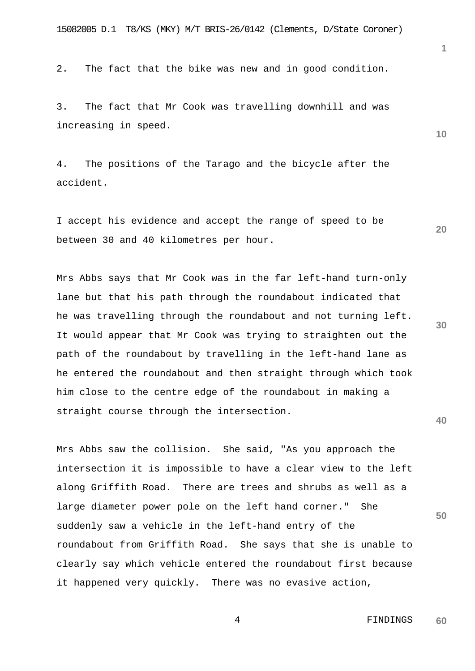2. The fact that the bike was new and in good condition.

3. The fact that Mr Cook was travelling downhill and was increasing in speed.

4. The positions of the Tarago and the bicycle after the accident.

I accept his evidence and accept the range of speed to be between 30 and 40 kilometres per hour.

Mrs Abbs says that Mr Cook was in the far left-hand turn-only lane but that his path through the roundabout indicated that he was travelling through the roundabout and not turning left. It would appear that Mr Cook was trying to straighten out the path of the roundabout by travelling in the left-hand lane as he entered the roundabout and then straight through which took him close to the centre edge of the roundabout in making a straight course through the intersection.

Mrs Abbs saw the collision. She said, "As you approach the intersection it is impossible to have a clear view to the left along Griffith Road. There are trees and shrubs as well as a large diameter power pole on the left hand corner." She suddenly saw a vehicle in the left-hand entry of the roundabout from Griffith Road. She says that she is unable to clearly say which vehicle entered the roundabout first because it happened very quickly. There was no evasive action,

**30**

**40**

**50**

**10**

**20**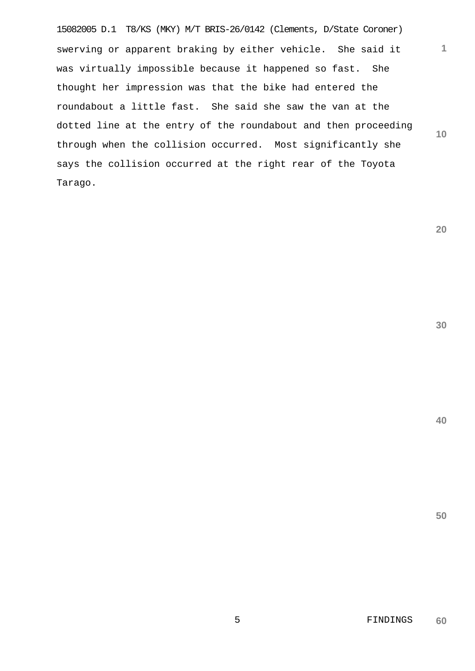15082005 D.1 T8/KS (MKY) M/T BRIS-26/0142 (Clements, D/State Coroner) **10** swerving or apparent braking by either vehicle. She said it was virtually impossible because it happened so fast. She thought her impression was that the bike had entered the roundabout a little fast. She said she saw the van at the dotted line at the entry of the roundabout and then proceeding through when the collision occurred. Most significantly she says the collision occurred at the right rear of the Toyota Tarago.

**20**

**1**

**30**

**40**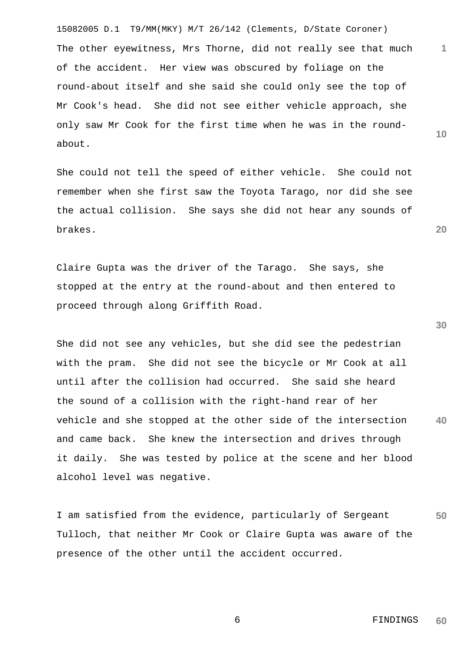15082005 D.1 T9/MM(MKY) M/T 26/142 (Clements, D/State Coroner) The other eyewitness, Mrs Thorne, did not really see that much of the accident. Her view was obscured by foliage on the round-about itself and she said she could only see the top of Mr Cook's head. She did not see either vehicle approach, she only saw Mr Cook for the first time when he was in the roundabout.

She could not tell the speed of either vehicle. She could not remember when she first saw the Toyota Tarago, nor did she see the actual collision. She says she did not hear any sounds of brakes.

Claire Gupta was the driver of the Tarago. She says, she stopped at the entry at the round-about and then entered to proceed through along Griffith Road.

**40** She did not see any vehicles, but she did see the pedestrian with the pram. She did not see the bicycle or Mr Cook at all until after the collision had occurred. She said she heard the sound of a collision with the right-hand rear of her vehicle and she stopped at the other side of the intersection and came back. She knew the intersection and drives through it daily. She was tested by police at the scene and her blood alcohol level was negative.

**50** I am satisfied from the evidence, particularly of Sergeant Tulloch, that neither Mr Cook or Claire Gupta was aware of the presence of the other until the accident occurred.

**30**

**1**

**10**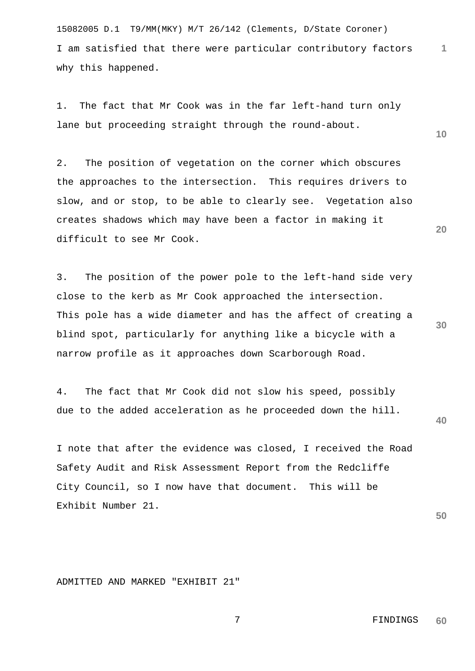15082005 D.1 T9/MM(MKY) M/T 26/142 (Clements, D/State Coroner) I am satisfied that there were particular contributory factors why this happened.

1. The fact that Mr Cook was in the far left-hand turn only lane but proceeding straight through the round-about.

2. The position of vegetation on the corner which obscures the approaches to the intersection. This requires drivers to slow, and or stop, to be able to clearly see. Vegetation also creates shadows which may have been a factor in making it difficult to see Mr Cook.

3. The position of the power pole to the left-hand side very close to the kerb as Mr Cook approached the intersection. This pole has a wide diameter and has the affect of creating a blind spot, particularly for anything like a bicycle with a narrow profile as it approaches down Scarborough Road.

4. The fact that Mr Cook did not slow his speed, possibly due to the added acceleration as he proceeded down the hill.

I note that after the evidence was closed, I received the Road Safety Audit and Risk Assessment Report from the Redcliffe City Council, so I now have that document. This will be Exhibit Number 21.

**50**

ADMITTED AND MARKED "EXHIBIT 21"

**30**

**40**

**1**

**10**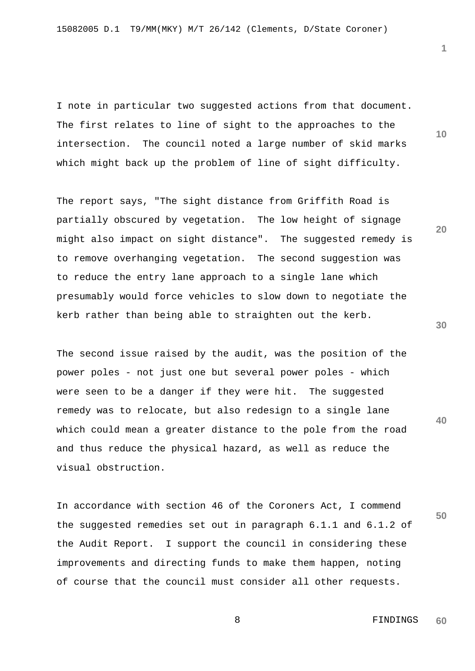I note in particular two suggested actions from that document. The first relates to line of sight to the approaches to the intersection. The council noted a large number of skid marks which might back up the problem of line of sight difficulty.

The report says, "The sight distance from Griffith Road is partially obscured by vegetation. The low height of signage might also impact on sight distance". The suggested remedy is to remove overhanging vegetation. The second suggestion was to reduce the entry lane approach to a single lane which presumably would force vehicles to slow down to negotiate the kerb rather than being able to straighten out the kerb.

The second issue raised by the audit, was the position of the power poles - not just one but several power poles - which were seen to be a danger if they were hit. The suggested remedy was to relocate, but also redesign to a single lane which could mean a greater distance to the pole from the road and thus reduce the physical hazard, as well as reduce the visual obstruction.

In accordance with section 46 of the Coroners Act, I commend the suggested remedies set out in paragraph 6.1.1 and 6.1.2 of the Audit Report. I support the council in considering these improvements and directing funds to make them happen, noting of course that the council must consider all other requests.

**30**

**40**

**50**

**20**

**10**